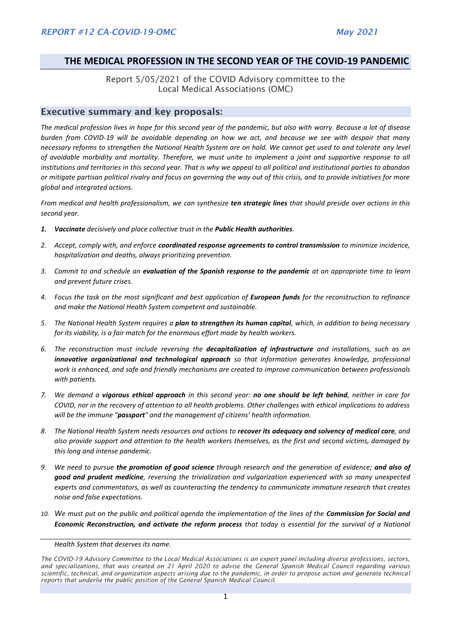## **THE MEDICAL PROFESSION IN THE SECOND YEAR OF THE COVID-19 PANDEMIC**

Report 5/05/2021 of the COVID Advisory committee to the Local Medical Associations (OMC)

#### Executive summary and key proposals:

*The medical profession lives in hope for this second year of the pandemic, but also with worry. Because a lot of disease burden from COVID-19 will be avoidable depending on how we act, and because we see with despair that many necessary reforms to strengthen the National Health System are on hold. We cannot get used to and tolerate any level of avoidable morbidity and mortality. Therefore, we must unite to implement a joint and supportive response to all institutions and territories in this second year. That is why we appeal to all political and institutional parties to abandon or mitigate partisan political rivalry and focus on governing the way out of this crisis, and to provide initiatives for more global and integrated actions.*

*From medical and health professionalism, we can synthesize ten strategic lines that should preside over actions in this second year.*

- *1. Vaccinate decisively and place collective trust in the Public Health authorities.*
- *2. Accept, comply with, and enforce coordinated response agreements to control transmission to minimize incidence, hospitalization and deaths, always prioritizing prevention.*
- *3. Commit to and schedule an evaluation of the Spanish response to the pandemic at an appropriate time to learn and prevent future crises.*
- *4. Focus the task on the most significant and best application of European funds for the reconstruction to refinance and make the National Health System competent and sustainable.*
- *5. The National Health System requires a plan to strengthen its human capital, which, in addition to being necessary for its viability, is a fair match for the enormous effort made by health workers.*
- *6. The reconstruction must include reversing the decapitalization of infrastructure and installations, such as an innovative organizational and technological approach so that information generates knowledge, professional work is enhanced, and safe and friendly mechanisms are created to improve communication between professionals with patients.*
- *7. We demand a vigorous ethical approach in this second year: no one should be left behind, neither in care for COVID, nor in the recovery of attention to all health problems. Other challenges with ethical implications to address will be the immune "passport" and the management of citizens' health information.*
- *8. The National Health System needs resources and actions to recover its adequacy and solvency of medical care, and also provide support and attention to the health workers themselves, as the first and second victims, damaged by this long and intense pandemic.*
- *9. We need to pursue the promotion of good science through research and the generation of evidence; and also of good and prudent medicine, reversing the trivialization and vulgarization experienced with so many unexpected experts and commentators, as well as counteracting the tendency to communicate immature research that creates noise and false expectations.*
- 10. We must put on the public and political agenda the implementation of the lines of the **Commission for Social and** *Economic Reconstruction, and activate the reform process that today is essential for the survival of a National*

*Health System that deserves its name.*

*The COVID-19 Advisory Committee to the Local Medical Associations is an expert panel including diverse professions, sectors, and specializations, that was created on 21 April 2020 to advise the General Spanish Medical Council regarding various scientific, technical, and organization aspects arising due to the pandemic, in order to propose action and generate technical reports that underlie the public position of the General Spanish Medical Council.*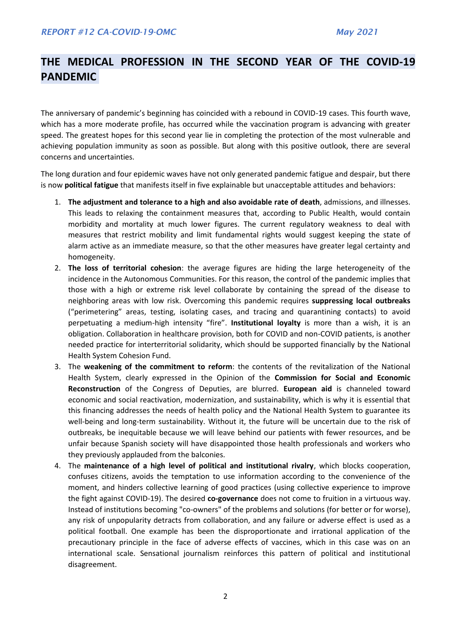# THE MEDICAL PROFESSION IN THE SECOND YEAR OF THE COVID-19 **PANDEMIC**

The anniversary of pandemic's beginning has coincided with a rebound in COVID-19 cases. This fourth wave, which has a more moderate profile, has occurred while the vaccination program is advancing with greater speed. The greatest hopes for this second year lie in completing the protection of the most vulnerable and achieving population immunity as soon as possible. But along with this positive outlook, there are several concerns and uncertainties.

The long duration and four epidemic waves have not only generated pandemic fatigue and despair, but there is now **political fatigue** that manifests itself in five explainable but unacceptable attitudes and behaviors:

- 1. **The adjustment and tolerance to a high and also avoidable rate of death**, admissions, and illnesses. This leads to relaxing the containment measures that, according to Public Health, would contain morbidity and mortality at much lower figures. The current regulatory weakness to deal with measures that restrict mobility and limit fundamental rights would suggest keeping the state of alarm active as an immediate measure, so that the other measures have greater legal certainty and homogeneity.
- 2. **The loss of territorial cohesion**: the average figures are hiding the large heterogeneity of the incidence in the Autonomous Communities. For this reason, the control of the pandemic implies that those with a high or extreme risk level collaborate by containing the spread of the disease to neighboring areas with low risk. Overcoming this pandemic requires **suppressing local outbreaks** ("perimetering" areas, testing, isolating cases, and tracing and quarantining contacts) to avoid perpetuating a medium-high intensity "fire". **Institutional loyalty** is more than a wish, it is an obligation. Collaboration in healthcare provision, both for COVID and non-COVID patients, is another needed practice for interterritorial solidarity, which should be supported financially by the National Health System Cohesion Fund.
- 3. The **weakening of the commitment to reform**: the contents of the revitalization of the National Health System, clearly expressed in the Opinion of the **Commission for Social and Economic Reconstruction** of the Congress of Deputies, are blurred. **European aid** is channeled toward economic and social reactivation, modernization, and sustainability, which is why it is essential that this financing addresses the needs of health policy and the National Health System to guarantee its well-being and long-term sustainability. Without it, the future will be uncertain due to the risk of outbreaks, be inequitable because we will leave behind our patients with fewer resources, and be unfair because Spanish society will have disappointed those health professionals and workers who they previously applauded from the balconies.
- 4. The **maintenance of a high level of political and institutional rivalry**, which blocks cooperation, confuses citizens, avoids the temptation to use information according to the convenience of the moment, and hinders collective learning of good practices (using collective experience to improve the fight against COVID-19). The desired **co-governance** does not come to fruition in a virtuous way. Instead of institutions becoming "co-owners" of the problems and solutions (for better or for worse), any risk of unpopularity detracts from collaboration, and any failure or adverse effect is used as a political football. One example has been the disproportionate and irrational application of the precautionary principle in the face of adverse effects of vaccines, which in this case was on an international scale. Sensational journalism reinforces this pattern of political and institutional disagreement.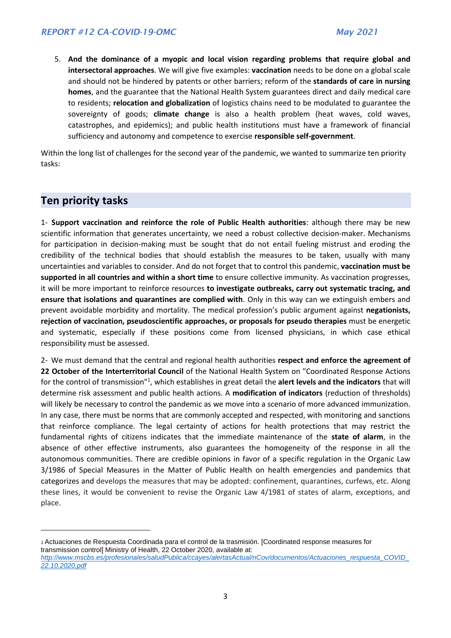*to the Local Medical Associations]* 5. **And the dominance of a myopic and local vision regarding problems that require global and intersectoral approaches**. We will give five examples: **vaccination** needs to be done on a global scale and should not be hindered by patents or other barriers; reform of the **standards of care in nursing homes**, and the guarantee that the National Health System guarantees direct and daily medical care to residents; **relocation and globalization** of logistics chains need to be modulated to guarantee the sovereignty of goods; **climate change** is also a health problem (heat waves, cold waves, catastrophes, and epidemics); and public health institutions must have a framework of financial sufficiency and autonomy and competence to exercise **responsible self-government**.

Within the long list of challenges for the second year of the pandemic, we wanted to summarize ten priority tasks:

## **Ten priority tasks**

1- **Support vaccination and reinforce the role of Public Health authorities**: although there may be new scientific information that generates uncertainty, we need a robust collective decision-maker. Mechanisms for participation in decision-making must be sought that do not entail fueling mistrust and eroding the credibility of the technical bodies that should establish the measures to be taken, usually with many uncertainties and variables to consider. And do not forget that to control this pandemic, **vaccination must be supported in all countries and within a short time** to ensure collective immunity. As vaccination progresses, it will be more important to reinforce resources **to investigate outbreaks, carry out systematic tracing, and ensure that isolations and quarantines are complied with**. Only in this way can we extinguish embers and prevent avoidable morbidity and mortality. The medical profession's public argument against **negationists, rejection of vaccination, pseudoscientific approaches, or proposals for pseudo therapies** must be energetic and systematic, especially if these positions come from licensed physicians, in which case ethical responsibility must be assessed.

2- We must demand that the central and regional health authorities **respect and enforce the agreement of 22 October of the Interterritorial Council** of the National Health System on "Coordinated Response Actions for the control of transmission"<sup>1</sup>, which establishes in great detail the **alert levels and the indicators** that will determine risk assessment and public health actions. A **modification of indicators** (reduction of thresholds) will likely be necessary to control the pandemic as we move into a scenario of more advanced immunization. In any case, there must be norms that are commonly accepted and respected, with monitoring and sanctions that reinforce compliance. The legal certainty of actions for health protections that may restrict the fundamental rights of citizens indicates that the immediate maintenance of the **state of alarm**, in the absence of other effective instruments, also guarantees the homogeneity of the response in all the autonomous communities. There are credible opinions in favor of a specific regulation in the Organic Law 3/1986 of Special Measures in the Matter of Public Health on health emergencies and pandemics that categorizes and develops the measures that may be adopted: confinement, quarantines, curfews, etc. Along these lines, it would be convenient to revise the Organic Law 4/1981 of states of alarm, exceptions, and place.

*<sup>1</sup>*Actuaciones de Respuesta Coordinada para el control de la trasmisión. [Coordinated response measures for transmission control] Ministry of Health, 22 October 2020, available at:

*[http://www.mscbs.es/profesionales/saludPublica/ccayes/alertasActual/nCov/documentos/Actuaciones\\_respuesta\\_COVID\\_](http://www.mscbs.es/profesionales/saludPublica/ccayes/alertasActual/nCov/documentos/Actuaciones_respuesta_COVID_22.10.2020.pdf) [22.10.2020.pdf](http://www.mscbs.es/profesionales/saludPublica/ccayes/alertasActual/nCov/documentos/Actuaciones_respuesta_COVID_22.10.2020.pdf)*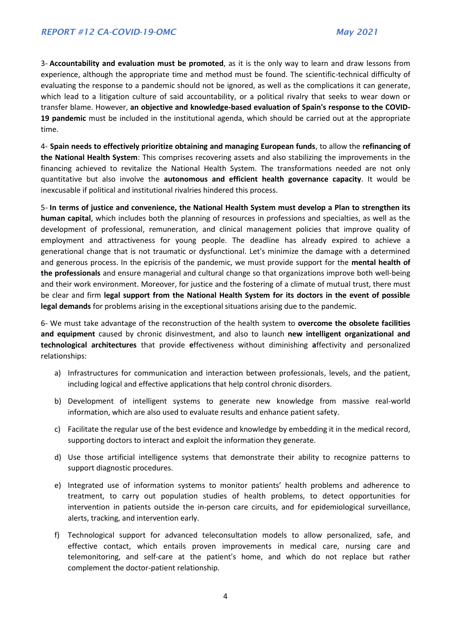*Associations]* 3- **Accountability and evaluation must be promoted**, as it is the only way to learn and draw lessons from experience, although the appropriate time and method must be found. The scientific-technical difficulty of evaluating the response to a pandemic should not be ignored, as well as the complications it can generate, which lead to a litigation culture of said accountability, or a political rivalry that seeks to wear down or transfer blame. However, **an objective and knowledge-based evaluation of Spain's response to the COVID-19 pandemic** must be included in the institutional agenda, which should be carried out at the appropriate time.

4- **Spain needs to effectively prioritize obtaining and managing European funds**, to allow the **refinancing of the National Health System**: This comprises recovering assets and also stabilizing the improvements in the financing achieved to revitalize the National Health System. The transformations needed are not only quantitative but also involve the **autonomous and efficient health governance capacity**. It would be inexcusable if political and institutional rivalries hindered this process.

5- **In terms of justice and convenience, the National Health System must develop a Plan to strengthen its human capital**, which includes both the planning of resources in professions and specialties, as well as the development of professional, remuneration, and clinical management policies that improve quality of employment and attractiveness for young people. The deadline has already expired to achieve a generational change that is not traumatic or dysfunctional. Let's minimize the damage with a determined and generous process. In the epicrisis of the pandemic, we must provide support for the **mental health of the professionals** and ensure managerial and cultural change so that organizations improve both well-being and their work environment. Moreover, for justice and the fostering of a climate of mutual trust, there must be clear and firm **legal support from the National Health System for its doctors in the event of possible legal demands** for problems arising in the exceptional situations arising due to the pandemic.

6- We must take advantage of the reconstruction of the health system to **overcome the obsolete facilities and equipment** caused by chronic disinvestment, and also to launch **new intelligent organizational and technological architectures** that provide **e**ffectiveness without diminishing **a**ffectivity and personalized relationships:

- a) Infrastructures for communication and interaction between professionals, levels, and the patient, including logical and effective applications that help control chronic disorders.
- b) Development of intelligent systems to generate new knowledge from massive real-world information, which are also used to evaluate results and enhance patient safety.
- c) Facilitate the regular use of the best evidence and knowledge by embedding it in the medical record, supporting doctors to interact and exploit the information they generate.
- d) Use those artificial intelligence systems that demonstrate their ability to recognize patterns to support diagnostic procedures.
- e) Integrated use of information systems to monitor patients' health problems and adherence to treatment, to carry out population studies of health problems, to detect opportunities for intervention in patients outside the in-person care circuits, and for epidemiological surveillance, alerts, tracking, and intervention early.
- f) Technological support for advanced teleconsultation models to allow personalized, safe, and effective contact, which entails proven improvements in medical care, nursing care and telemonitoring, and self-care at the patient's home, and which do not replace but rather complement the doctor-patient relationship.